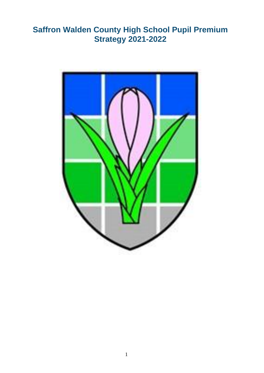# **Saffron Walden County High School Pupil Premium Strategy 2021-2022**

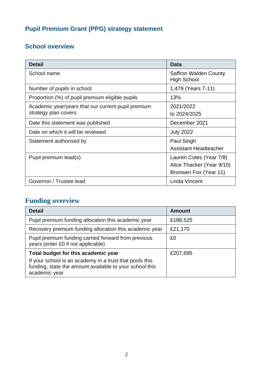# **Pupil Premium Grant (PPG) strategy statement**

### **School overview**

| <b>Detail</b>                                      | Data                                        |
|----------------------------------------------------|---------------------------------------------|
| School name                                        | <b>Saffron Walden County</b><br>High School |
| Number of pupils in school                         | 1,479 (Years 7-11)                          |
| Proportion (%) of pupil premium eligible pupils    | 13%                                         |
| Academic year/years that our current pupil premium | 2021/2022                                   |
| strategy plan covers                               | to 2024/2025                                |
| Date this statement was published                  | December 2021                               |
| Date on which it will be reviewed                  | <b>July 2022</b>                            |
| Statement authorised by                            | Paul Singh                                  |
|                                                    | <b>Assistant Headteacher</b>                |
| Pupil premium lead(s)                              | Lauren Cotes (Year 7/8)                     |
|                                                    | Alice Thacker (Year 9/10)                   |
|                                                    | Bronwen Fox (Year 11)                       |
| Governor / Trustee lead                            | Linda Vincent                               |

## **Funding overview**

| <b>Detail</b>                                                                                                                       | <b>Amount</b> |
|-------------------------------------------------------------------------------------------------------------------------------------|---------------|
| Pupil premium funding allocation this academic year                                                                                 | £186,525      |
| Recovery premium funding allocation this academic year                                                                              | £21,170       |
| Pupil premium funding carried forward from previous<br>years (enter £0 if not applicable)                                           | £0            |
| Total budget for this academic year                                                                                                 | £207,695      |
| If your school is an academy in a trust that pools this<br>funding, state the amount available to your school this<br>academic year |               |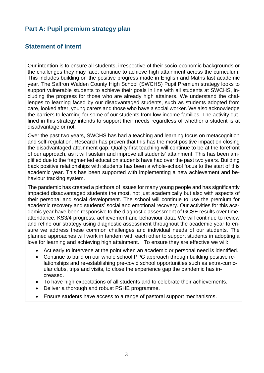#### **Part A: Pupil premium strategy plan**

#### **Statement of intent**

Our intention is to ensure all students, irrespective of their socio-economic backgrounds or the challenges they may face, continue to achieve high attainment across the curriculum. This includes building on the positive progress made in English and Maths last academic year. The Saffron Walden County High School (SWCHS) Pupil Premium strategy looks to support vulnerable students to achieve their goals in line with all students at SWCHS, including the progress for those who are already high attainers. We understand the challenges to learning faced by our disadvantaged students, such as students adopted from care, looked after, young carers and those who have a social worker. We also acknowledge the barriers to learning for some of our students from low-income families. The activity outlined in this strategy intends to support their needs regardless of whether a student is at disadvantage or not.

Over the past two years, SWCHS has had a teaching and learning focus on metacognition and self-regulation. Research has proven that this has the most positive impact on closing the disadvantaged attainment gap. Quality first teaching will continue to be at the forefront of our approach, as it will sustain and improve all students' attainment. This has been amplified due to the fragmented education students have had over the past two years. Building back positive relationships with students has been a whole-school focus to the start of this academic year. This has been supported with implementing a new achievement and behaviour tracking system.

The pandemic has created a plethora of issues for many young people and has significantly impacted disadvantaged students the most, not just academically but also with aspects of their personal and social development. The school will continue to use the premium for academic recovery and students' social and emotional recovery. Our activities for this academic year have been responsive to the diagnostic assessment of GCSE results over time, attendance, KS3/4 progress, achievement and behaviour data. We will continue to review and refine our strategy using diagnostic assessment throughout the academic year to ensure we address these common challenges and individual needs of our students. The planned approaches will work in tandem with each other to support students in adopting a love for learning and achieving high attainment. To ensure they are effective we will:

- Act early to intervene at the point when an academic or personal need is identified.
- Continue to build on our whole school PPG approach through building positive relationships and re-establishing pre-covid school opportunities such as extra-curricular clubs, trips and visits, to close the experience gap the pandemic has increased.
- To have high expectations of all students and to celebrate their achievements.
- Deliver a thorough and robust PSHE programme.
- Ensure students have access to a range of pastoral support mechanisms.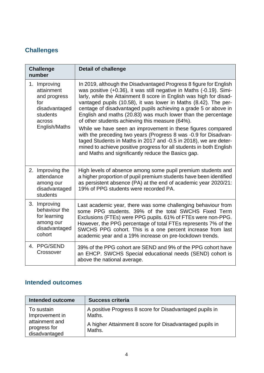### **Challenges**

| <b>Challenge</b><br>number                                                               | <b>Detail of challenge</b>                                                                                                                                                                                                                                                                                                                                                                                                                                              |
|------------------------------------------------------------------------------------------|-------------------------------------------------------------------------------------------------------------------------------------------------------------------------------------------------------------------------------------------------------------------------------------------------------------------------------------------------------------------------------------------------------------------------------------------------------------------------|
| 1. Improving<br>attainment<br>and progress<br>for<br>disadvantaged<br>students<br>across | In 2019, although the Disadvantaged Progress 8 figure for English<br>was positive (+0.36), it was still negative in Maths (-0.19). Simi-<br>larly, while the Attainment 8 score in English was high for disad-<br>vantaged pupils (10.58), it was lower in Maths (8.42). The per-<br>centage of disadvantaged pupils achieving a grade 5 or above in<br>English and maths (20.83) was much lower than the percentage<br>of other students achieving this measure (64%). |
| English/Maths                                                                            | While we have seen an improvement in these figures compared<br>with the preceding two years (Progress 8 was -0.9 for Disadvan-<br>taged Students in Maths in 2017 and -0.5 in 2018), we are deter-<br>mined to achieve positive progress for all students in both English<br>and Maths and significantly reduce the Basics gap.                                                                                                                                         |
| 2. Improving the<br>attendance<br>among our<br>disadvantaged<br>students                 | High levels of absence among some pupil premium students and<br>a higher proportion of pupil premium students have been identified<br>as persistent absence (PA) at the end of academic year 2020/21:<br>19% of PPG students were recorded PA.                                                                                                                                                                                                                          |
| 3. Improving<br>behaviour the<br>for learning<br>among our<br>disadvantaged<br>cohort    | Last academic year, there was some challenging behaviour from<br>some PPG students. 39% of the total SWCHS Fixed Term<br>Exclusions (FTEs) were PPG pupils. 61% of FTEs were non-PPG.<br>However, the PPG percentage of total FTEs represents 7% of the<br>SWCHS PPG cohort. This is a one percent increase from last<br>academic year and a 19% increase on pre-lockdown trends.                                                                                       |
| 4. PPG/SEND<br>Crossover                                                                 | 39% of the PPG cohort are SEND and 9% of the PPG cohort have<br>an EHCP. SWCHS Special educational needs (SEND) cohort is<br>above the national average.                                                                                                                                                                                                                                                                                                                |

### **Intended outcomes**

| <b>Intended outcome</b>                                                         | <b>Success criteria</b>                                                                                                                |
|---------------------------------------------------------------------------------|----------------------------------------------------------------------------------------------------------------------------------------|
| To sustain<br>Improvement in<br>attainment and<br>progress for<br>disadvantaged | A positive Progress 8 score for Disadvantaged pupils in<br>Maths.<br>A higher Attainment 8 score for Disadvantaged pupils in<br>Maths. |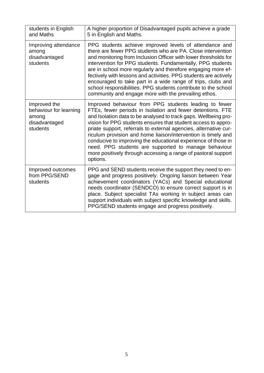| students in English<br>and Maths                                             | A higher proportion of Disadvantaged pupils achieve a grade<br>5 in English and Maths.                                                                                                                                                                                                                                                                                                                                                                                                                                                                                                             |
|------------------------------------------------------------------------------|----------------------------------------------------------------------------------------------------------------------------------------------------------------------------------------------------------------------------------------------------------------------------------------------------------------------------------------------------------------------------------------------------------------------------------------------------------------------------------------------------------------------------------------------------------------------------------------------------|
| Improving attendance<br>among<br>disadvantaged<br>students                   | PPG students achieve improved levels of attendance and<br>there are fewer PPG students who are PA. Close intervention<br>and monitoring from Inclusion Officer with lower thresholds for<br>intervention for PPG students. Fundamentally, PPG students<br>are in school more regularly and therefore engaging more ef-<br>fectively with lessons and activities. PPG students are actively<br>encouraged to take part in a wide range of trips, clubs and<br>school responsibilities. PPG students contribute to the school<br>community and engage more with the prevailing ethos.                |
| Improved the<br>behaviour for learning<br>among<br>disadvantaged<br>students | Improved behaviour from PPG students leading to fewer<br>FTEs, fewer periods in Isolation and fewer detentions. FTE<br>and Isolation data to be analysed to track gaps. Wellbeing pro-<br>vision for PPG students ensures that student access to appro-<br>priate support, referrals to external agencies, alternative cur-<br>riculum provision and home liaison/intervention is timely and<br>conducive to improving the educational experience of those in<br>need. PPG students are supported to manage behaviour<br>more positively through accessing a range of pastoral support<br>options. |
| Improved outcomes<br>from PPG/SEND<br>students                               | PPG and SEND students receive the support they need to en-<br>gage and progress positively. Ongoing liaison between Year<br>achievement coordinators (YACs) and Special educational<br>needs coordinator (SENDCO) to ensure correct support is in<br>place. Subject specialist TAs working in subject areas can<br>support individuals with subject specific knowledge and skills.<br>PPG/SEND students engage and progress positively.                                                                                                                                                            |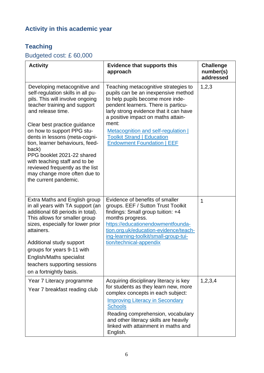# **Activity in this academic year**

### **Teaching**

## Budgeted cost: £ 60,000

| <b>Activity</b>                                                                                                                                                                                                                                                                                                                                                                                                                                                 | <b>Evidence that supports this</b><br>approach                                                                                                                                                                                                                                                                                                                   | <b>Challenge</b><br>number(s)<br>addressed |
|-----------------------------------------------------------------------------------------------------------------------------------------------------------------------------------------------------------------------------------------------------------------------------------------------------------------------------------------------------------------------------------------------------------------------------------------------------------------|------------------------------------------------------------------------------------------------------------------------------------------------------------------------------------------------------------------------------------------------------------------------------------------------------------------------------------------------------------------|--------------------------------------------|
| Developing metacognitive and<br>self-regulation skills in all pu-<br>pils. This will involve ongoing<br>teacher training and support<br>and release time.<br>Clear best practice guidance<br>on how to support PPG stu-<br>dents in lessons (meta-cogni-<br>tion, learner behaviours, feed-<br>back)<br>PPG booklet 2021-22 shared<br>with teaching staff and to be<br>reviewed frequently as the list<br>may change more often due to<br>the current pandemic. | Teaching metacognitive strategies to<br>pupils can be an inexpensive method<br>to help pupils become more inde-<br>pendent learners. There is particu-<br>larly strong evidence that it can have<br>a positive impact on maths attain-<br>ment:<br>Metacognition and self-regulation  <br><b>Toolkit Strand   Education</b><br><b>Endowment Foundation   EEF</b> | 1, 2, 3                                    |
| Extra Maths and English group<br>in all years with TA support (an<br>additional 68 periods in total).<br>This allows for smaller group<br>sizes, especially for lower prior<br>attainers.<br>Additional study support                                                                                                                                                                                                                                           | Evidence of benefits of smaller<br>groups. EEF / Sutton Trust Toolkit<br>findings: Small group tuition: +4<br>months progress.<br>https://educationendowmentfounda-<br>tion.org.uk/education-evidence/teach-<br>ing-learning-toolkit/small-group-tui-<br>tion/technical-appendix                                                                                 | 1                                          |
| groups for years 9-11 with<br><b>English/Maths specialist</b><br>teachers supporting sessions<br>on a fortnightly basis.                                                                                                                                                                                                                                                                                                                                        |                                                                                                                                                                                                                                                                                                                                                                  |                                            |
| Year 7 Literacy programme<br>Year 7 breakfast reading club                                                                                                                                                                                                                                                                                                                                                                                                      | Acquiring disciplinary literacy is key<br>for students as they learn new, more<br>complex concepts in each subject:<br><b>Improving Literacy in Secondary</b><br><b>Schools</b><br>Reading comprehension, vocabulary<br>and other literacy skills are heavily<br>linked with attainment in maths and<br>English.                                                 | 1,2,3,4                                    |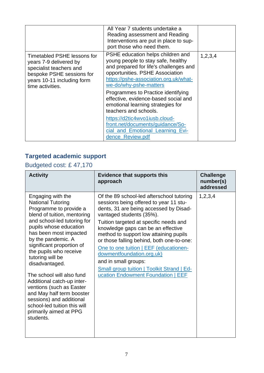|                                                                                                                                                                        | All Year 7 students undertake a<br>Reading assessment and Reading<br>Interventions are put in place to sup-<br>port those who need them.                                                                                                                                                                                                                                                                                                                                                         |         |
|------------------------------------------------------------------------------------------------------------------------------------------------------------------------|--------------------------------------------------------------------------------------------------------------------------------------------------------------------------------------------------------------------------------------------------------------------------------------------------------------------------------------------------------------------------------------------------------------------------------------------------------------------------------------------------|---------|
| <b>Timetabled PSHE lessons for</b><br>years 7-9 delivered by<br>specialist teachers and<br>bespoke PSHE sessions for<br>years 10-11 including form<br>time activities. | PSHE education helps children and<br>young people to stay safe, healthy<br>and prepared for life's challenges and<br>opportunities. PSHE Association<br>https://pshe-association.org.uk/what-<br>we-do/why-pshe-matters<br>Programmes to Practice identifying<br>effective, evidence-based social and<br>emotional learning strategies for<br>teachers and schools.<br>https://d2tic4wvo1iusb.cloud-<br>front.net/documents/guidance/So-<br>cial_and_Emotional_Learning_Evi-<br>dence Review.pdf | 1,2,3,4 |

# **Targeted academic support**

# Budgeted cost: £ 47,170

| <b>Activity</b>                                                                                                                                                                                                                                                                                                                                                                                                                                                                                                                     | <b>Evidence that supports this</b><br>approach                                                                                                                                                                                                                                                                                                                                                                                                                                                                             | <b>Challenge</b><br>number(s)<br>addressed |
|-------------------------------------------------------------------------------------------------------------------------------------------------------------------------------------------------------------------------------------------------------------------------------------------------------------------------------------------------------------------------------------------------------------------------------------------------------------------------------------------------------------------------------------|----------------------------------------------------------------------------------------------------------------------------------------------------------------------------------------------------------------------------------------------------------------------------------------------------------------------------------------------------------------------------------------------------------------------------------------------------------------------------------------------------------------------------|--------------------------------------------|
| Engaging with the<br><b>National Tutoring</b><br>Programme to provide a<br>blend of tuition, mentoring<br>and school-led tutoring for<br>pupils whose education<br>has been most impacted<br>by the pandemic. A<br>significant proportion of<br>the pupils who receive<br>tutoring will be<br>disadvantaged.<br>The school will also fund<br>Additional catch-up inter-<br>ventions (such as Easter<br>and May half term booster<br>sessions) and additional<br>school-led tuition this will<br>primarily aimed at PPG<br>students. | Of the 89 school-led afterschool tutoring<br>sessions being offered to year 11 stu-<br>dents, 31 are being accessed by Disad-<br>vantaged students (35%).<br>Tuition targeted at specific needs and<br>knowledge gaps can be an effective<br>method to support low attaining pupils<br>or those falling behind, both one-to-one:<br>One to one tuition   EEF (educationen-<br>dowmentfoundation.org.uk)<br>and in small groups:<br><b>Small group tuition   Toolkit Strand   Ed-</b><br>ucation Endowment Foundation   EEF | 1,2,3,4                                    |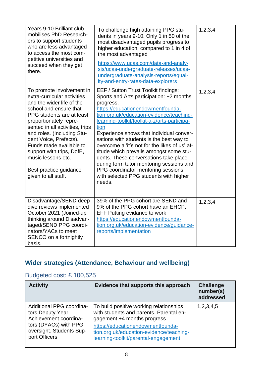| Years 9-10 Brilliant club<br>mobilises PhD Research-<br>ers to support students<br>who are less advantaged<br>to access the most com-<br>petitive universities and<br>succeed when they get<br>there.                                                                                                                                                                                            | To challenge high attaining PPG stu-<br>dents in years 9-10. Only 1 in 50 of the<br>most disadvantaged pupils progress to<br>higher education, compared to 1 in 4 of<br>the most advantaged<br>https://www.ucas.com/data-and-analy-<br>sis/ucas-undergraduate-releases/ucas-<br>undergraduate-analysis-reports/equal-<br>ity-and-entry-rates-data-explorers                                                                                                                                                                                                                                               | 1,2,3,4 |
|--------------------------------------------------------------------------------------------------------------------------------------------------------------------------------------------------------------------------------------------------------------------------------------------------------------------------------------------------------------------------------------------------|-----------------------------------------------------------------------------------------------------------------------------------------------------------------------------------------------------------------------------------------------------------------------------------------------------------------------------------------------------------------------------------------------------------------------------------------------------------------------------------------------------------------------------------------------------------------------------------------------------------|---------|
| To promote involvement in<br>extra-curricular activities<br>and the wider life of the<br>school and ensure that<br>PPG students are at least<br>proportionately repre-<br>sented in all activities, trips<br>and roles. (Including Stu-<br>dent Voice, Prefects).<br>Funds made available to<br>support with trips, DofE,<br>music lessons etc.<br>Best practice guidance<br>given to all staff. | EEF / Sutton Trust Toolkit findings:<br>Sports and Arts participation: +2 months<br>progress.<br>https://educationendowmentfounda-<br>tion.org.uk/education-evidence/teaching-<br>learning-toolkit/toolkit-a-z/arts-participa-<br>tion<br>Experience shows that individual conver-<br>sations with students is the best way to<br>overcome a 'it's not for the likes of us' at-<br>titude which prevails amongst some stu-<br>dents. These conversations take place<br>during form tutor mentoring sessions and<br>PPG coordinator mentoring sessions<br>with selected PPG students with higher<br>needs. | 1,2,3,4 |
| Disadvantage/SEND deep<br>dive reviews implemented<br>October 2021 (Joined-up<br>thinking around Disadvan-<br>taged/SEND PPG coordi-<br>nators/YACs to meet<br>SENCO on a fortnightly<br>basis.                                                                                                                                                                                                  | 39% of the PPG cohort are SEND and<br>9% of the PPG cohort have an EHCP.<br><b>EFF Putting evidance to work</b><br>https://educationendowmentfounda-<br>tion.org.uk/education-evidence/guidance-<br>reports/implementation                                                                                                                                                                                                                                                                                                                                                                                | 1,2,3,4 |

### **Wider strategies (Attendance, Behaviour and wellbeing)**

## Budgeted cost: £ 100,525

| <b>Activity</b>                                                                                                                             | Evidence that supports this approach                                                                                                                                                                                                       | <b>Challenge</b><br>number(s)<br>addressed |
|---------------------------------------------------------------------------------------------------------------------------------------------|--------------------------------------------------------------------------------------------------------------------------------------------------------------------------------------------------------------------------------------------|--------------------------------------------|
| Additional PPG coordina-<br>tors Deputy Year<br>Achievement coordina-<br>tors (DYACs) with PPG<br>oversight. Students Sup-<br>port Officers | To build positive working relationships<br>with students and parents. Parental en-<br>gagement +4 months progress<br>https://educationendowmentfounda-<br>tion.org.uk/education-evidence/teaching-<br>learning-toolkit/parental-engagement | 1,2,3,4,5                                  |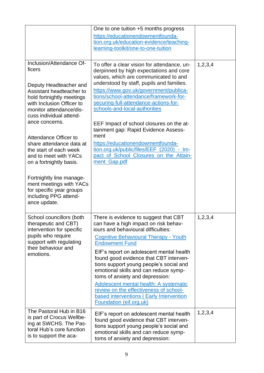|                                                                                                                                                                                                                                                                                                                                                                                                                                                                                           | One to one tuition +5 months progress<br>https://educationendowmentfounda-<br>tion.org.uk/education-evidence/teaching-<br>learning-toolkit/one-to-one-tuition                                                                                                                                                                                                                                                                                                                                                                                                                      |            |
|-------------------------------------------------------------------------------------------------------------------------------------------------------------------------------------------------------------------------------------------------------------------------------------------------------------------------------------------------------------------------------------------------------------------------------------------------------------------------------------------|------------------------------------------------------------------------------------------------------------------------------------------------------------------------------------------------------------------------------------------------------------------------------------------------------------------------------------------------------------------------------------------------------------------------------------------------------------------------------------------------------------------------------------------------------------------------------------|------------|
| Inclusion/Attendance Of-<br>ficers<br>Deputy Headteacher and<br>Assistant headteacher to<br>hold fortnightly meetings<br>with Inclusion Officer to<br>monitor attendance/dis-<br>cuss individual attend-<br>ance concerns.<br>Attendance Officer to<br>share attendance data at<br>the start of each week<br>and to meet with YACs<br>on a fortnightly basis.<br>Fortnightly line manage-<br>ment meetings with YACs<br>for specific year groups<br>including PPG attend-<br>ance update. | To offer a clear vision for attendance, un-<br>derpinned by high expectations and core<br>values, which are communicated to and<br>understood by staff, pupils and families.<br>https://www.gov.uk/government/publica-<br>tions/school-attendance/framework-for-<br>securing-full-attendance-actions-for-<br>schools-and-local-authorities<br>EEF Impact of school closures on the at-<br>tainment gap: Rapid Evidence Assess-<br>ment<br>https://educationendowmentfounda-<br>tion.org.uk/public/files/EEF_(2020)_-_Im-<br>pact of School Closures on the Attain-<br>ment_Gap.pdf | 1,2,3,4    |
| School councillors (both<br>therapeutic and CBT)<br>intervention for specific<br>pupils who require<br>support with regulating<br>their behaviour and<br>emotions.                                                                                                                                                                                                                                                                                                                        | There is evidence to suggest that CBT<br>can have a high impact on risk behav-<br>jours and behavioural difficulties:<br><b>Cognitive Behavioural Therapy - Youth</b><br><b>Endowment Fund</b><br>EIF's report on adolescent mental health<br>found good evidence that CBT interven-<br>tions support young people's social and<br>emotional skills and can reduce symp-<br>toms of anxiety and depression:<br>Adolescent mental health: A systematic<br>review on the effectiveness of school-<br>based interventions   Early Intervention<br><b>Foundation (eif.org.uk)</b>      | 1,2,3,4    |
| The Pastoral Hub in B16<br>is part of Crocus Wellbe-<br>ing at SWCHS. The Pas-<br>toral Hub's core function<br>is to support the aca-                                                                                                                                                                                                                                                                                                                                                     | EIF's report on adolescent mental health<br>found good evidence that CBT interven-<br>tions support young people's social and<br>emotional skills and can reduce symp-<br>toms of anxiety and depression:                                                                                                                                                                                                                                                                                                                                                                          | 1, 2, 3, 4 |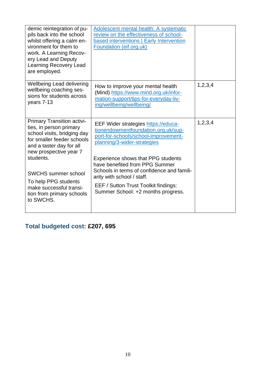| demic reintegration of pu-<br>pils back into the school<br>whilst offering a calm en-<br>vironment for them to<br>work. A Learning Recov-<br>ery Lead and Deputy<br>Learning Recovery Lead<br>are employed.                                                                                                | Adolescent mental health: A systematic<br>review on the effectiveness of school-<br>based interventions   Early Intervention<br>Foundation (eif.org.uk)                                                                                                                                                                                                                                    |         |
|------------------------------------------------------------------------------------------------------------------------------------------------------------------------------------------------------------------------------------------------------------------------------------------------------------|--------------------------------------------------------------------------------------------------------------------------------------------------------------------------------------------------------------------------------------------------------------------------------------------------------------------------------------------------------------------------------------------|---------|
| <b>Wellbeing Lead delivering</b><br>wellbeing coaching ses-<br>sions for students across<br>years 7-13                                                                                                                                                                                                     | How to improve your mental health<br>(Mind) https://www.mind.org.uk/infor-<br>mation-support/tips-for-everyday-liv-<br>ing/wellbeing/wellbeing/                                                                                                                                                                                                                                            | 1,2,3,4 |
| <b>Primary Transition activi-</b><br>ties, in person primary<br>school visits, bridging day<br>for smaller feeder schools<br>and a taster day for all<br>new prospective year 7<br>students.<br><b>SWCHS summer school</b><br>To help PPG students<br>make successful transi-<br>tion from primary schools | EEF Wider strategies https://educa-<br>tionendowmentfoundation.org.uk/sup-<br>port-for-schools/school-improvement-<br>planning/3-wider-strategies<br>Experience shows that PPG students<br>have benefited from PPG Summer<br>Schools in terms of confidence and famili-<br>arity with school / staff.<br><b>EEF / Sutton Trust Toolkit findings:</b><br>Summer School: +2 months progress. | 1,2,3,4 |
| to SWCHS.                                                                                                                                                                                                                                                                                                  |                                                                                                                                                                                                                                                                                                                                                                                            |         |

# **Total budgeted cost: £207, 695**